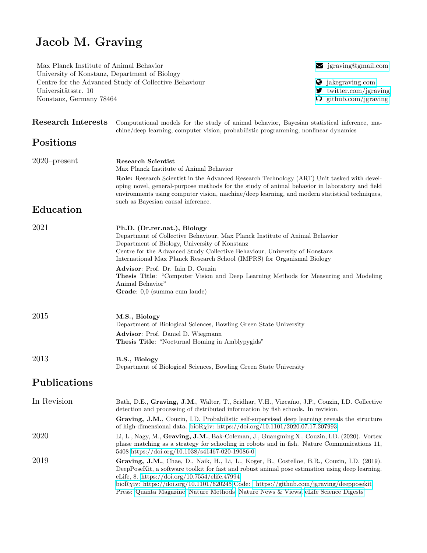## Jacob M. Graving

Max Planck Institute of Animal Behavior R is a set of the set of Animal Behavior R is a set of  $\sum$  [jgraving@gmail.com](mailto:jgraving@gmail.com) University of Konstanz, Department of Biology Centre for the Advanced Study of Collective Behaviour **intervalse Collective Behaviour q** [jakegraving.com](http://jakegraving.com/) Universitätsstr. 10  $\bullet$  7 [twitter.com/jgraving](https://twitter.com/jgraving) Konstanz, Germany 78464 **G** [github.com/jgraving](https://github.com/jgraving) Research Interests Computational models for the study of animal behavior, Bayesian statistical inference, machine/deep learning, computer vision, probabilistic programming, nonlinear dynamics Positions 2020–present Research Scientist Max Planck Institute of Animal Behavior Role: Research Scientist in the Advanced Research Technology (ART) Unit tasked with developing novel, general-purpose methods for the study of animal behavior in laboratory and field environments using computer vision, machine/deep learning, and modern statistical techniques, such as Bayesian causal inference. Education 2021 Ph.D. (Dr.rer.nat.), Biology Department of Collective Behaviour, Max Planck Institute of Animal Behavior Department of Biology, University of Konstanz Centre for the Advanced Study Collective Behaviour, University of Konstanz International Max Planck Research School (IMPRS) for Organismal Biology Advisor: Prof. Dr. Iain D. Couzin Thesis Title: "Computer Vision and Deep Learning Methods for Measuring and Modeling Animal Behavior" Grade: 0,0 (summa cum laude) 2015 M.S., Biology Department of Biological Sciences, Bowling Green State University Advisor: Prof. Daniel D. Wiegmann Thesis Title: "Nocturnal Homing in Amblypygids" 2013 **B.S., Biology** Department of Biological Sciences, Bowling Green State University Publications In Revision Bath, D.E., Graving, J.M., Walter, T., Sridhar, V.H., Vizcaíno, J.P., Couzin, I.D. Collective detection and processing of distributed information by fish schools. In revision. Graving, J.M., Couzin, I.D. Probabilistic self-supervised deep learning reveals the structure of high-dimensional data. bio $R\chi$ [iv: https://doi.org/10.1101/2020.07.17.207993](https://doi.org/10.1101/2020.07.17.207993) 2020 Li, L., Nagy, M., Graving, J.M., Bak-Coleman, J., Guangming X., Couzin, I.D. (2020). Vortex phase matching as a strategy for schooling in robots and in fish. Nature Communications 11, 5408 [https://doi.org/10.1038/s41467-020-19086-0](https://doi.org/10.1038/s41467-020-19086-0 ) 2019 Graving, J.M., Chae, D., Naik, H., Li, L., Koger, B., Costelloe, B.R., Couzin, I.D. (2019). DeepPoseKit, a software toolkit for fast and robust animal pose estimation using deep learning. eLife, 8.<https://doi.org/10.7554/elife.47994>

bioRχ[iv: https://doi.org/10.1101/620245](https://doi.org/10.1101/620245) Code:<https://github.com/jgraving/deepposekit> Press: [Quanta Magazine,](https://www.quantamagazine.org/to-decode-the-brain-scientists-automate-the-study-of-behavior-20191210/) [Nature Methods,](https://doi.org/10.1038/s41592-019-0678-2) [Nature News & Views,](https://doi.org/10.1038/d41586-019-02942-5) [eLife Science Digests](https://elifesciences.org/digests/47994/machine-learning-animal-poses-to-understand-behavior)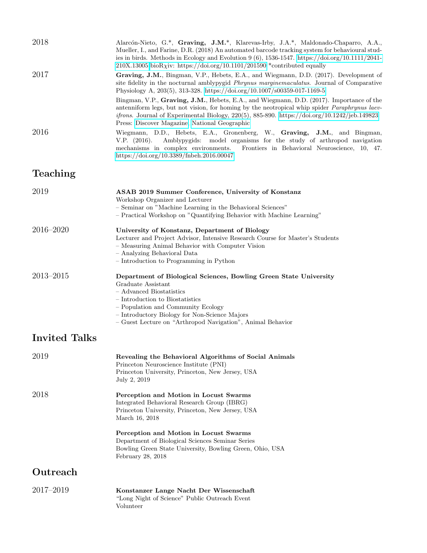| 2018                 | Alarcón-Nieto, G.*, Graving, J.M.*, Klarevas-Irby, J.A.*, Maldonado-Chaparro, A.A.,<br>Mueller, I., and Farine, D.R. (2018) An automated barcode tracking system for behavioural stud-<br>ies in birds. Methods in Ecology and Evolution 9 (6), 1536-1547. https://doi.org/10.1111/2041-<br>$210X.13005$ bioRxiv: https://doi.org/10.1101/201590 *contributed equally                                                                                                                                                                                                                                                                  |
|----------------------|----------------------------------------------------------------------------------------------------------------------------------------------------------------------------------------------------------------------------------------------------------------------------------------------------------------------------------------------------------------------------------------------------------------------------------------------------------------------------------------------------------------------------------------------------------------------------------------------------------------------------------------|
| 2017                 | Graving, J.M., Bingman, V.P., Hebets, E.A., and Wiegmann, D.D. (2017). Development of<br>site fidelity in the nocturnal amblypygid <i>Phrynus marginemaculatus</i> . Journal of Comparative<br>Physiology A, 203(5), 313-328. https://doi.org/10.1007/s00359-017-1169-5<br>Bingman, V.P., Graving, J.M., Hebets, E.A., and Wiegmann, D.D. (2017). Importance of the<br>antenniform legs, but not vision, for homing by the neotropical whip spider <i>Paraphrynus laev-</i><br><i>ifrons.</i> Journal of Experimental Biology, $220(5)$ , 885-890. https://doi.org/10.1242/jeb.149823<br>Press: Discover Magazine, National Geographic |
| 2016                 | Wiegmann, D.D., Hebets, E.A., Gronenberg, W., Graving, J.M., and Bingman,<br>Amblypygids: model organisms for the study of arthropod navigation<br>V.P. $(2016)$ .<br>mechanisms in complex environments.<br>Frontiers in Behavioral Neuroscience, 10, 47.<br>https://doi.org/10.3389/fnbeh.2016.00047                                                                                                                                                                                                                                                                                                                                 |
| Teaching             |                                                                                                                                                                                                                                                                                                                                                                                                                                                                                                                                                                                                                                        |
| 2019                 | ASAB 2019 Summer Conference, University of Konstanz<br>Workshop Organizer and Lecturer<br>- Seminar on "Machine Learning in the Behavioral Sciences"<br>- Practical Workshop on "Quantifying Behavior with Machine Learning"                                                                                                                                                                                                                                                                                                                                                                                                           |
| 2016-2020            | University of Konstanz, Department of Biology<br>Lecturer and Project Advisor, Intensive Research Course for Master's Students<br>- Measuring Animal Behavior with Computer Vision<br>- Analyzing Behavioral Data<br>- Introduction to Programming in Python                                                                                                                                                                                                                                                                                                                                                                           |
| $2013 - 2015$        | Department of Biological Sciences, Bowling Green State University<br>Graduate Assistant<br>- Advanced Biostatistics<br>- Introduction to Biostatistics<br>- Population and Community Ecology<br>- Introductory Biology for Non-Science Majors<br>- Guest Lecture on "Arthropod Navigation", Animal Behavior                                                                                                                                                                                                                                                                                                                            |
| <b>Invited Talks</b> |                                                                                                                                                                                                                                                                                                                                                                                                                                                                                                                                                                                                                                        |
| 2019                 | Revealing the Behavioral Algorithms of Social Animals<br>Princeton Neuroscience Institute (PNI)<br>Princeton University, Princeton, New Jersey, USA<br>July 2, 2019                                                                                                                                                                                                                                                                                                                                                                                                                                                                    |
| 2018                 | Perception and Motion in Locust Swarms<br>Integrated Behavioral Research Group (IBRG)<br>Princeton University, Princeton, New Jersey, USA<br>March 16, 2018<br>Perception and Motion in Locust Swarms                                                                                                                                                                                                                                                                                                                                                                                                                                  |
|                      | Department of Biological Sciences Seminar Series<br>Bowling Green State University, Bowling Green, Ohio, USA<br>February 28, 2018                                                                                                                                                                                                                                                                                                                                                                                                                                                                                                      |
| Outreach             |                                                                                                                                                                                                                                                                                                                                                                                                                                                                                                                                                                                                                                        |
| 2017-2019            | Konstanzer Lange Nacht Der Wissenschaft<br>"Long Night of Science" Public Outreach Event<br>Volunteer                                                                                                                                                                                                                                                                                                                                                                                                                                                                                                                                  |